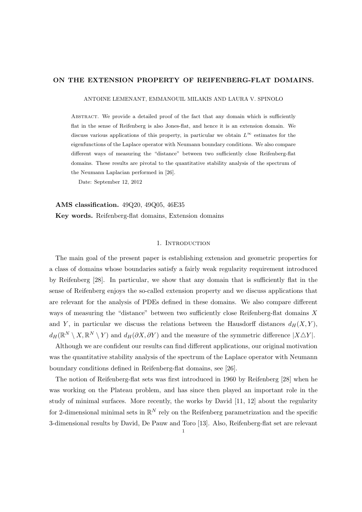# ON THE EXTENSION PROPERTY OF REIFENBERG-FLAT DOMAINS.

ANTOINE LEMENANT, EMMANOUIL MILAKIS AND LAURA V. SPINOLO

ABSTRACT. We provide a detailed proof of the fact that any domain which is sufficiently flat in the sense of Reifenberg is also Jones-flat, and hence it is an extension domain. We discuss various applications of this property, in particular we obtain  $L^{\infty}$  estimates for the eigenfunctions of the Laplace operator with Neumann boundary conditions. We also compare different ways of measuring the "distance" between two sufficiently close Reifenberg-flat domains. These results are pivotal to the quantitative stability analysis of the spectrum of the Neumann Laplacian performed in [26].

Date: September 12, 2012

AMS classification. 49Q20, 49Q05, 46E35 Key words. Reifenberg-flat domains, Extension domains

## 1. INTRODUCTION

The main goal of the present paper is establishing extension and geometric properties for a class of domains whose boundaries satisfy a fairly weak regularity requirement introduced by Reifenberg [28]. In particular, we show that any domain that is sufficiently flat in the sense of Reifenberg enjoys the so-called extension property and we discuss applications that are relevant for the analysis of PDEs defined in these domains. We also compare different ways of measuring the "distance" between two sufficiently close Reifenberg-flat domains  $X$ and Y, in particular we discuss the relations between the Hausdorff distances  $d_H(X, Y)$ ,  $d_H(\mathbb{R}^N\setminus X,\mathbb{R}^N\setminus Y)$  and  $d_H(\partial X,\partial Y)$  and the measure of the symmetric difference  $|X\triangle Y|$ .

Although we are confident our results can find different applications, our original motivation was the quantitative stability analysis of the spectrum of the Laplace operator with Neumann boundary conditions defined in Reifenberg-flat domains, see [26].

The notion of Reifenberg-flat sets was first introduced in 1960 by Reifenberg [28] when he was working on the Plateau problem, and has since then played an important role in the study of minimal surfaces. More recently, the works by David [11, 12] about the regularity for 2-dimensional minimal sets in  $\mathbb{R}^N$  rely on the Reifenberg parametrization and the specific 3-dimensional results by David, De Pauw and Toro [13]. Also, Reifenberg-flat set are relevant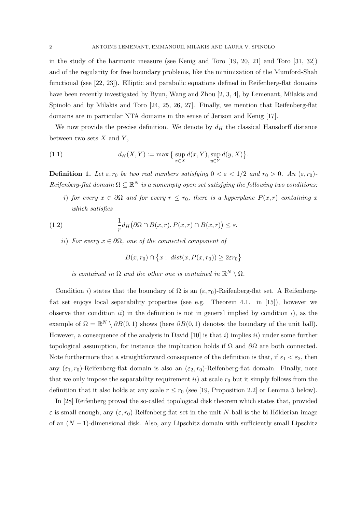in the study of the harmonic measure (see Kenig and Toro [19, 20, 21] and Toro [31, 32]) and of the regularity for free boundary problems, like the minimization of the Mumford-Shah functional (see [22, 23]). Elliptic and parabolic equations defined in Reifenberg-flat domains have been recently investigated by Byun, Wang and Zhou [2, 3, 4], by Lemenant, Milakis and Spinolo and by Milakis and Toro [24, 25, 26, 27]. Finally, we mention that Reifenberg-flat domains are in particular NTA domains in the sense of Jerison and Kenig [17].

We now provide the precise definition. We denote by  $d_H$  the classical Hausdorff distance between two sets  $X$  and  $Y$ ,

(1.1) 
$$
d_H(X, Y) := \max \{ \sup_{x \in X} d(x, Y), \sup_{y \in Y} d(y, X) \}.
$$

**Definition 1.** Let  $\varepsilon$ ,  $r_0$  be two real numbers satisfying  $0 < \varepsilon < 1/2$  and  $r_0 > 0$ . An  $(\varepsilon, r_0)$ - $Reifenberg-flat domain \Omega \subseteq \mathbb{R}^N$  *is a nonempty open set satisfying the following two conditions:* 

*i*) *for every*  $x \in \partial\Omega$  *and for every*  $r \leq r_0$ *, there is a hyperplane*  $P(x,r)$  *containing* x *which satisfies*

(1.2) 
$$
\frac{1}{r}d_H(\partial\Omega \cap B(x,r), P(x,r) \cap B(x,r)) \leq \varepsilon.
$$

ii) *For every*  $x \in \partial \Omega$ *, one of the connected component of* 

$$
B(x,r_0) \cap \left\{x : dist(x, P(x,r_0)) \geq 2\varepsilon r_0\right\}
$$

*is contained in*  $\Omega$  *and the other one is contained in*  $\mathbb{R}^N \setminus \Omega$ *.* 

Condition i) states that the boundary of  $\Omega$  is an  $(\varepsilon, r_0)$ -Reifenberg-flat set. A Reifenbergflat set enjoys local separability properties (see e.g. Theorem 4.1. in [15]), however we observe that condition  $ii)$  in the definition is not in general implied by condition i), as the example of  $\Omega = \mathbb{R}^N \setminus \partial B(0,1)$  shows (here  $\partial B(0,1)$  denotes the boundary of the unit ball). However, a consequence of the analysis in David  $[10]$  is that i) implies ii) under some further topological assumption, for instance the implication holds if  $\Omega$  and  $\partial\Omega$  are both connected. Note furthermore that a straightforward consequence of the definition is that, if  $\varepsilon_1 < \varepsilon_2$ , then any  $(\varepsilon_1, r_0)$ -Reifenberg-flat domain is also an  $(\varepsilon_2, r_0)$ -Reifenberg-flat domain. Finally, note that we only impose the separability requirement ii) at scale  $r_0$  but it simply follows from the definition that it also holds at any scale  $r \le r_0$  (see [19, Proposition 2.2] or Lemma 5 below).

In [28] Reifenberg proved the so-called topological disk theorem which states that, provided  $\varepsilon$  is small enough, any  $(\varepsilon, r_0)$ -Reifenberg-flat set in the unit N-ball is the bi-Hölderian image of an  $(N-1)$ -dimensional disk. Also, any Lipschitz domain with sufficiently small Lipschitz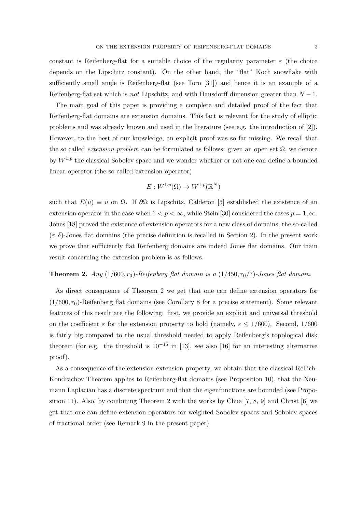constant is Reifenberg-flat for a suitable choice of the regularity parameter  $\varepsilon$  (the choice depends on the Lipschitz constant). On the other hand, the "flat" Koch snowflake with sufficiently small angle is Reifenberg-flat (see Toro [31]) and hence it is an example of a Reifenberg-flat set which is *not* Lipschitz, and with Hausdorff dimension greater than N − 1.

The main goal of this paper is providing a complete and detailed proof of the fact that Reifenberg-flat domains are extension domains. This fact is relevant for the study of elliptic problems and was already known and used in the literature (see e.g. the introduction of [2]). However, to the best of our knowledge, an explicit proof was so far missing. We recall that the so called *extension problem* can be formulated as follows: given an open set Ω, we denote by  $W^{1,p}$  the classical Sobolev space and we wonder whether or not one can define a bounded linear operator (the so-called extension operator)

$$
E: W^{1,p}(\Omega) \to W^{1,p}(\mathbb{R}^N)
$$

such that  $E(u) \equiv u$  on  $\Omega$ . If  $\partial\Omega$  is Lipschitz, Calderon [5] established the existence of an extension operator in the case when  $1 < p < \infty$ , while Stein [30] considered the cases  $p = 1, \infty$ . Jones [18] proved the existence of extension operators for a new class of domains, the so-called  $(\varepsilon, \delta)$ -Jones flat domains (the precise definition is recalled in Section 2). In the present work we prove that sufficiently flat Reifenberg domains are indeed Jones flat domains. Our main result concerning the extension problem is as follows.

## **Theorem 2.** *Any*  $(1/600, r_0)$ *-Reifenberg flat domain is a*  $(1/450, r_0/7)$ *-Jones flat domain.*

As direct consequence of Theorem 2 we get that one can define extension operators for  $(1/600, r_0)$ -Reifenberg flat domains (see Corollary 8 for a precise statement). Some relevant features of this result are the following: first, we provide an explicit and universal threshold on the coefficient  $\varepsilon$  for the extension property to hold (namely,  $\varepsilon \leq 1/600$ ). Second, 1/600 is fairly big compared to the usual threshold needed to apply Reifenberg's topological disk theorem (for e.g. the threshold is  $10^{-15}$  in [13], see also [16] for an interesting alternative proof).

As a consequence of the extension extension property, we obtain that the classical Rellich-Kondrachov Theorem applies to Reifenberg-flat domains (see Proposition 10), that the Neumann Laplacian has a discrete spectrum and that the eigenfunctions are bounded (see Proposition 11). Also, by combining Theorem 2 with the works by Chua  $[7, 8, 9]$  and Christ  $[6]$  we get that one can define extension operators for weighted Sobolev spaces and Sobolev spaces of fractional order (see Remark 9 in the present paper).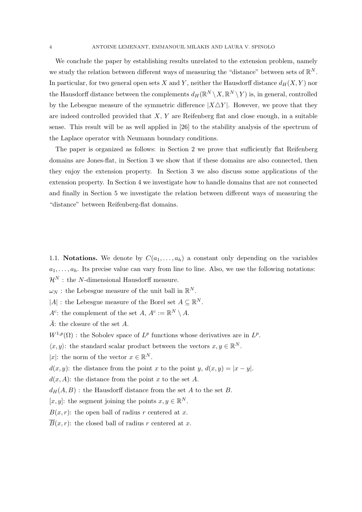We conclude the paper by establishing results unrelated to the extension problem, namely we study the relation between different ways of measuring the "distance" between sets of  $\mathbb{R}^N$ . In particular, for two general open sets X and Y, neither the Hausdorff distance  $d_H(X, Y)$  nor the Hausdorff distance between the complements  $d_H(\mathbb{R}^N \setminus X, \mathbb{R}^N \setminus Y)$  is, in general, controlled by the Lebesgue measure of the symmetric difference  $|X\triangle Y|$ . However, we prove that they are indeed controlled provided that  $X, Y$  are Reifenberg flat and close enough, in a suitable sense. This result will be as well applied in [26] to the stability analysis of the spectrum of the Laplace operator with Neumann boundary conditions.

The paper is organized as follows: in Section 2 we prove that sufficiently flat Reifenberg domains are Jones-flat, in Section 3 we show that if these domains are also connected, then they enjoy the extension property. In Section 3 we also discuss some applications of the extension property. In Section 4 we investigate how to handle domains that are not connected and finally in Section 5 we investigate the relation between different ways of measuring the "distance" between Reifenberg-flat domains.

1.1. Notations. We denote by  $C(a_1, \ldots, a_h)$  a constant only depending on the variables  $a_1, \ldots, a_h$ . Its precise value can vary from line to line. Also, we use the following notations:  $\mathcal{H}^N$ : the N-dimensional Hausdorff measure.

 $\omega_N$ : the Lebesgue measure of the unit ball in  $\mathbb{R}^N$ .

|A| : the Lebesgue measure of the Borel set  $A \subseteq \mathbb{R}^N$ .

 $A^c$ : the complement of the set  $A, A^c := \mathbb{R}^N \setminus A$ .

 $\bar{A}$ : the closure of the set A.

 $W^{1,p}(\Omega)$ : the Sobolev space of  $L^p$  functions whose derivatives are in  $L^p$ .

 $\langle x, y \rangle$ : the standard scalar product between the vectors  $x, y \in \mathbb{R}^N$ .

|x|: the norm of the vector  $x \in \mathbb{R}^N$ .

 $d(x, y)$ : the distance from the point x to the point y,  $d(x, y) = |x - y|$ .

 $d(x, A)$ : the distance from the point x to the set A.

 $d_H(A, B)$ : the Hausdorff distance from the set A to the set B.

[ $x, y$ ]: the segment joining the points  $x, y \in \mathbb{R}^N$ .

 $B(x, r)$ : the open ball of radius r centered at x.

 $\overline{B}(x, r)$ : the closed ball of radius r centered at x.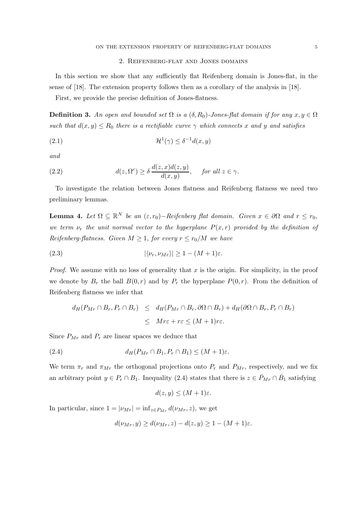# 2. Reifenberg-flat and Jones domains

In this section we show that any sufficiently flat Reifenberg domain is Jones-flat, in the sense of [18]. The extension property follows then as a corollary of the analysis in [18].

First, we provide the precise definition of Jones-flatness.

**Definition 3.** An open and bounded set  $\Omega$  is a  $(\delta, R_0)$ -Jones-flat domain if for any  $x, y \in \Omega$ *such that*  $d(x, y) \leq R_0$  *there is a rectifiable curve*  $\gamma$  *which connects* x *and* y *and satisfies* 

(2.1) 
$$
\mathcal{H}^1(\gamma) \leq \delta^{-1} d(x, y)
$$

*and*

(2.2) 
$$
d(z, \Omega^c) \ge \delta \frac{d(z, x) d(z, y)}{d(x, y)}, \quad \text{for all } z \in \gamma.
$$

To investigate the relation between Jones flatness and Reifenberg flatness we need two preliminary lemmas.

**Lemma 4.** Let  $\Omega \subseteq \mathbb{R}^N$  be an  $(\varepsilon, r_0) - \text{Reifenberg flat domain.}$  Given  $x \in \partial\Omega$  and  $r \leq r_0$ , *we term*  $\nu_r$  *the unit normal vector to the hyperplane*  $P(x,r)$  *provided by the definition of Reifenberg-flatness. Given*  $M \geq 1$ *, for every*  $r \leq r_0/M$  *we have* 

(2.3) 
$$
|\langle \nu_r, \nu_{Mr} \rangle| \ge 1 - (M+1)\varepsilon.
$$

*Proof.* We assume with no loss of generality that  $x$  is the origin. For simplicity, in the proof we denote by  $B_r$  the ball  $B(0,r)$  and by  $P_r$  the hyperplane  $P(0,r)$ . From the definition of Reifenberg flatness we infer that

$$
d_H(P_{Mr} \cap B_r, P_r \cap B_r) \leq d_H(P_{Mr} \cap B_r, \partial \Omega \cap B_r) + d_H(\partial \Omega \cap B_r, P_r \cap B_r)
$$
  

$$
\leq Mr\varepsilon + r\varepsilon \leq (M+1)r\varepsilon.
$$

Since  $P_{Mr}$  and  $P_r$  are linear spaces we deduce that

(2.4) 
$$
d_H(P_{Mr} \cap B_1, P_r \cap B_1) \leq (M+1)\varepsilon.
$$

We term  $\pi_r$  and  $\pi_{Mr}$  the orthogonal projections onto  $P_r$  and  $P_{Mr}$ , respectively, and we fix an arbitrary point  $y \in P_r \cap B_1$ . Inequality (2.4) states that there is  $z \in \bar{P}_{Mr} \cap \bar{B}_1$  satisfying

$$
d(z, y) \le (M + 1)\varepsilon.
$$

In particular, since  $1 = |\nu_{Mr}| = \inf_{z \in P_{Mr}} d(\nu_{Mr}, z)$ , we get

$$
d(\nu_{Mr}, y) \ge d(\nu_{Mr}, z) - d(z, y) \ge 1 - (M + 1)\varepsilon.
$$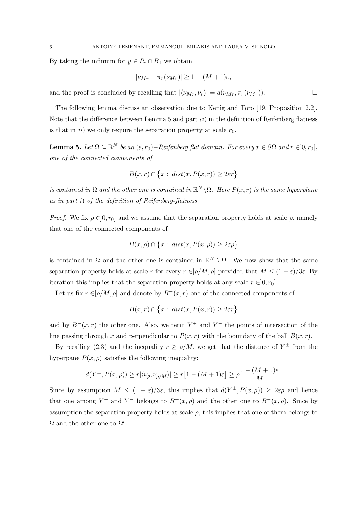By taking the infimum for  $y \in P_r \cap B_1$  we obtain

$$
|\nu_{Mr} - \pi_r(\nu_{Mr})| \ge 1 - (M+1)\varepsilon,
$$

and the proof is concluded by recalling that  $|\langle \nu_{Mr}, \nu_r \rangle| = d(\nu_{Mr}, \pi_r(\nu_{Mr}))$ .

The following lemma discuss an observation due to Kenig and Toro [19, Proposition 2.2]. Note that the difference between Lemma 5 and part  $ii)$  in the definition of Reifenberg flatness is that in *ii*) we only require the separation property at scale  $r_0$ .

**Lemma 5.** Let  $\Omega \subseteq \mathbb{R}^N$  be an  $(\varepsilon, r_0) - \text{Reifenberg flat domain.}$  For every  $x \in \partial \Omega$  and  $r \in ]0, r_0]$ , *one of the connected components of*

$$
B(x,r) \cap \big\{x:\ dist(x,P(x,r)) \geq 2\varepsilon r\big\}
$$

*is contained in*  $\Omega$  *and the other one is contained in*  $\mathbb{R}^N \setminus \Omega$ *. Here*  $P(x,r)$  *is the same hyperplane as in part* i) *of the definition of Reifenberg-flatness.*

*Proof.* We fix  $\rho \in ]0, r_0]$  and we assume that the separation property holds at scale  $\rho$ , namely that one of the connected components of

$$
B(x,\rho) \cap \big\{x:\ dist(x,P(x,\rho)) \ge 2\varepsilon\rho\big\}
$$

is contained in  $\Omega$  and the other one is contained in  $\mathbb{R}^N \setminus \Omega$ . We now show that the same separation property holds at scale r for every  $r \in ]\rho/M, \rho]$  provided that  $M \leq (1 - \varepsilon)/3\varepsilon$ . By iteration this implies that the separation property holds at any scale  $r \in ]0, r_0]$ .

Let us fix  $r \in ]\rho/M, \rho]$  and denote by  $B^+(x,r)$  one of the connected components of

$$
B(x,r) \cap \{x : dist(x, P(x,r)) \geq 2\varepsilon r\}
$$

and by  $B^{-}(x, r)$  the other one. Also, we term  $Y^{+}$  and  $Y^{-}$  the points of intersection of the line passing through x and perpendicular to  $P(x, r)$  with the boundary of the ball  $B(x, r)$ .

By recalling (2.3) and the inequality  $r \ge \rho/M$ , we get that the distance of  $Y^{\pm}$  from the hyperpane  $P(x, \rho)$  satisfies the following inequality:

$$
d(Y^{\pm}, P(x, \rho)) \ge r |\langle \nu_{\rho}, \nu_{\rho/M} \rangle| \ge r [1 - (M + 1)\varepsilon] \ge \rho \frac{1 - (M + 1)\varepsilon}{M}.
$$

Since by assumption  $M \leq (1 - \varepsilon)/3\varepsilon$ , this implies that  $d(Y^{\pm}, P(x, \rho)) \geq 2\varepsilon \rho$  and hence that one among  $Y^+$  and  $Y^-$  belongs to  $B^+(x,\rho)$  and the other one to  $B^-(x,\rho)$ . Since by assumption the separation property holds at scale  $\rho$ , this implies that one of them belongs to  $\Omega$  and the other one to  $\Omega^c$ .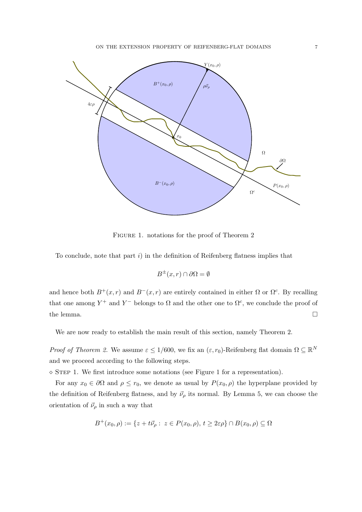

FIGURE 1. notations for the proof of Theorem 2

To conclude, note that part  $i$ ) in the definition of Reifenberg flatness implies that

$$
B^{\pm}(x,r)\cap\partial\Omega=\emptyset
$$

and hence both  $B^+(x,r)$  and  $B^-(x,r)$  are entirely contained in either  $\Omega$  or  $\Omega^c$ . By recalling that one among  $Y^+$  and  $Y^-$  belongs to  $\Omega$  and the other one to  $\Omega^c$ , we conclude the proof of the lemma.  $\Box$ 

We are now ready to establish the main result of this section, namely Theorem 2.

*Proof of Theorem 2.* We assume  $\varepsilon \leq 1/600$ , we fix an  $(\varepsilon, r_0)$ -Reifenberg flat domain  $\Omega \subseteq \mathbb{R}^N$ and we proceed according to the following steps.

 $\Diamond$  STEP 1. We first introduce some notations (see Figure 1 for a representation).

For any  $x_0 \in \partial\Omega$  and  $\rho \leq r_0$ , we denote as usual by  $P(x_0, \rho)$  the hyperplane provided by the definition of Reifenberg flatness, and by  $\vec{\nu}_{\rho}$  its normal. By Lemma 5, we can choose the orientation of  $\vec{\nu}_{\rho}$  in such a way that

$$
B^+(x_0,\rho) := \{ z + t\vec{\nu}_\rho : z \in P(x_0,\rho), t \ge 2\varepsilon\rho \} \cap B(x_0,\rho) \subseteq \Omega
$$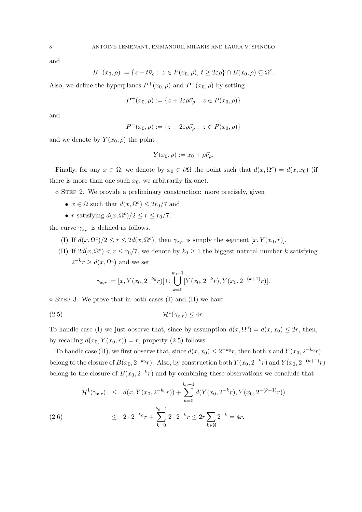and

$$
B^-(x_0,\rho):=\{z-t\vec\nu_\rho:\;z\in P(x_0,\rho),\,t\geq 2\varepsilon\rho\}\cap B(x_0,\rho)\subseteq \Omega^c.
$$

Also, we define the hyperplanes  $P^+(x_0, \rho)$  and  $P^-(x_0, \rho)$  by setting

$$
P^+(x_0, \rho) := \{ z + 2\varepsilon \rho \vec{\nu}_\rho : z \in P(x_0, \rho) \}
$$

and

$$
P^-(x_0,\rho) := \{ z - 2\varepsilon\rho\vec{\nu}_\rho : z \in P(x_0,\rho) \}
$$

and we denote by  $Y(x_0, \rho)$  the point

$$
Y(x_0, \rho) := x_0 + \rho \vec{\nu}_{\rho}.
$$

Finally, for any  $x \in \Omega$ , we denote by  $x_0 \in \partial\Omega$  the point such that  $d(x, \Omega^c) = d(x, x_0)$  (if there is more than one such  $x_0$ , we arbitrarily fix one).

 $\Diamond$  STEP 2. We provide a preliminary construction: more precisely, given

- $x \in \Omega$  such that  $d(x, \Omega^c) \leq 2r_0/7$  and
- r satisfying  $d(x, \Omega^c)/2 \le r \le r_0/7$ ,

the curve  $\gamma_{x,r}$  is defined as follows.

- (I) If  $d(x, \Omega^c)/2 \le r \le 2d(x, \Omega^c)$ , then  $\gamma_{x,r}$  is simply the segment  $[x, Y(x_0, r)]$ .
- (II) If  $2d(x, \Omega^c) < r \le r_0/7$ , we denote by  $k_0 \ge 1$  the biggest natural number k satisfying  $2^{-k}r \geq d(x, \Omega^c)$  and we set

$$
\gamma_{x,r} := [x, Y(x_0, 2^{-k_0}r)] \cup \bigcup_{k=0}^{k_0-1} [Y(x_0, 2^{-k}r), Y(x_0, 2^{-(k+1)}r)].
$$

 $\diamond$  STEP 3. We prove that in both cases (I) and (II) we have

$$
(2.5) \t\t\t\t\mathcal{H}^1(\gamma_{x,r}) \leq 4r.
$$

To handle case (I) we just observe that, since by assumption  $d(x, \Omega^c) = d(x, x_0) \leq 2r$ , then, by recalling  $d(x_0, Y(x_0, r)) = r$ , property (2.5) follows.

To handle case (II), we first observe that, since  $d(x, x_0) \leq 2^{-k_0}r$ , then both x and  $Y(x_0, 2^{-k_0}r)$ belong to the closure of  $B(x_0, 2^{-k_0}r)$ . Also, by construction both  $Y(x_0, 2^{-k}r)$  and  $Y(x_0, 2^{-(k+1)}r)$ belong to the closure of  $B(x_0, 2^{-k}r)$  and by combining these observations we conclude that

$$
\mathcal{H}^{1}(\gamma_{x,r}) \leq d(x, Y(x_0, 2^{-k_0}r)) + \sum_{k=0}^{k_0-1} d(Y(x_0, 2^{-k}r), Y(x_0, 2^{-(k+1)}r))
$$
\n
$$
\leq 2 \cdot 2^{-k_0}r + \sum_{k=0}^{k_0-1} 2 \cdot 2^{-k}r \leq 2r \sum_{k \in \mathbb{N}} 2^{-k} = 4r.
$$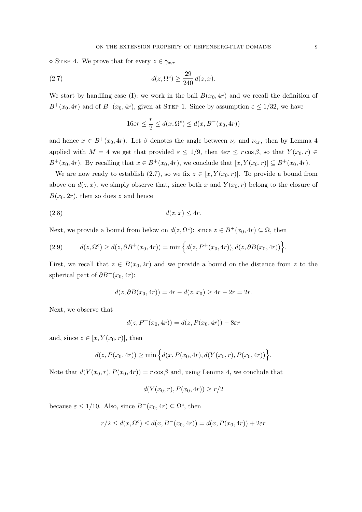$\Diamond$  STEP 4. We prove that for every  $z \in \gamma_{x,r}$ 

(2.7) 
$$
d(z, \Omega^c) \ge \frac{29}{240} d(z, x).
$$

We start by handling case (I): we work in the ball  $B(x_0, 4r)$  and we recall the definition of  $B^+(x_0, 4r)$  and of  $B^-(x_0, 4r)$ , given at STEP 1. Since by assumption  $\varepsilon \leq 1/32$ , we have

$$
16\varepsilon r \le \frac{r}{2} \le d(x, \Omega^c) \le d(x, B^-(x_0, 4r))
$$

and hence  $x \in B^+(x_0, 4r)$ . Let  $\beta$  denotes the angle between  $\nu_r$  and  $\nu_{4r}$ , then by Lemma 4 applied with  $M = 4$  we get that provided  $\varepsilon \leq 1/9$ , then  $4\varepsilon r \leq r \cos \beta$ , so that  $Y(x_0, r) \in$  $B^+(x_0, 4r)$ . By recalling that  $x \in B^+(x_0, 4r)$ , we conclude that  $[x, Y(x_0, r)] \subseteq B^+(x_0, 4r)$ .

We are now ready to establish (2.7), so we fix  $z \in [x, Y(x_0, r)]$ . To provide a bound from above on  $d(z, x)$ , we simply observe that, since both x and  $Y(x_0, r)$  belong to the closure of  $B(x_0, 2r)$ , then so does z and hence

$$
d(z, x) \le 4r.
$$

Next, we provide a bound from below on  $d(z, \Omega^c)$ : since  $z \in B^+(x_0, 4r) \subseteq \Omega$ , then

(2.9) 
$$
d(z, \Omega^c) \ge d(z, \partial B^+(x_0, 4r)) = \min \Big\{ d(z, P^+(x_0, 4r)), d(z, \partial B(x_0, 4r)) \Big\}.
$$

First, we recall that  $z \in B(x_0, 2r)$  and we provide a bound on the distance from z to the spherical part of  $\partial B^+(x_0, 4r)$ :

$$
d(z, \partial B(x_0, 4r)) = 4r - d(z, x_0) \ge 4r - 2r = 2r.
$$

Next, we observe that

$$
d(z, P^{+}(x_0, 4r)) = d(z, P(x_0, 4r)) - 8\varepsilon r
$$

and, since  $z \in [x, Y(x_0, r)],$  then

$$
d(z, P(x_0, 4r)) \ge \min\Big\{d(x, P(x_0, 4r), d(Y(x_0, r), P(x_0, 4r))\Big\}.
$$

Note that  $d(Y(x_0, r), P(x_0, 4r)) = r \cos \beta$  and, using Lemma 4, we conclude that

$$
d(Y(x_0,r), P(x_0,4r)) \ge r/2
$$

because  $\varepsilon \leq 1/10$ . Also, since  $B^{-}(x_0, 4r) \subseteq \Omega^c$ , then

$$
r/2 \le d(x, \Omega^c) \le d(x, B^-(x_0, 4r)) = d(x, P(x_0, 4r)) + 2\varepsilon r
$$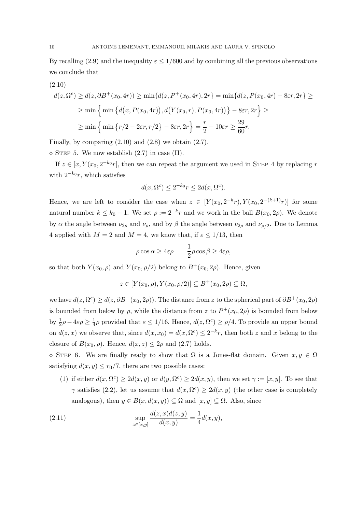By recalling (2.9) and the inequality  $\varepsilon \leq 1/600$  and by combining all the previous observations we conclude that

(2.10)  
\n
$$
d(z, \Omega^c) \ge d(z, \partial B^+(x_0, 4r)) \ge \min\{d(z, P^+(x_0, 4r), 2r\} = \min\{d(z, P(x_0, 4r) - 8\varepsilon r, 2r\} \ge
$$
\n
$$
\ge \min\left\{\min\{d(x, P(x_0, 4r)), d(Y(x_0, r), P(x_0, 4r))\} - 8\varepsilon r, 2r\right\} \ge
$$
\n
$$
\ge \min\left\{\min\left\{r/2 - 2\varepsilon r, r/2\right\} - 8\varepsilon r, 2r\right\} = \frac{r}{2} - 10\varepsilon r \ge \frac{29}{60}r.
$$

Finally, by comparing  $(2.10)$  and  $(2.8)$  we obtain  $(2.7)$ .

 $\diamond$  STEP 5. We now establish (2.7) in case (II).

If  $z \in [x, Y(x_0, 2^{-k_0}r],$  then we can repeat the argument we used in STEP 4 by replacing r with  $2^{-k_0}r$ , which satisfies

$$
d(x, \Omega^c) \le 2^{-k_0} r \le 2d(x, \Omega^c).
$$

Hence, we are left to consider the case when  $z \in [Y(x_0, 2^{-k}r), Y(x_0, 2^{-(k+1)}r)]$  for some natural number  $k \leq k_0 - 1$ . We set  $\rho := 2^{-k}r$  and we work in the ball  $B(x_0, 2\rho)$ . We denote by  $\alpha$  the angle between  $\nu_{2\rho}$  and  $\nu_{\rho}$ , and by  $\beta$  the angle between  $\nu_{2\rho}$  and  $\nu_{\rho/2}$ . Due to Lemma 4 applied with  $M = 2$  and  $M = 4$ , we know that, if  $\varepsilon \leq 1/13$ , then

$$
\rho \cos \alpha \ge 4\varepsilon \rho \qquad \frac{1}{2} \rho \cos \beta \ge 4\varepsilon \rho,
$$

so that both  $Y(x_0, \rho)$  and  $Y(x_0, \rho/2)$  belong to  $B^+(x_0, 2\rho)$ . Hence, given

$$
z \in [Y(x_0, \rho), Y(x_0, \rho/2)] \subseteq B^+(x_0, 2\rho) \subseteq \Omega,
$$

we have  $d(z, \Omega^c) \geq d(z, \partial B^+(x_0, 2\rho))$ . The distance from z to the spherical part of  $\partial B^+(x_0, 2\rho)$ is bounded from below by  $\rho$ , while the distance from z to  $P^+(x_0, 2\rho)$  is bounded from below by  $\frac{1}{2}\rho - 4\varepsilon\rho \geq \frac{1}{4}$  $\frac{1}{4}\rho$  provided that  $\varepsilon \leq 1/16$ . Hence,  $d(z, \Omega^c) \geq \rho/4$ . To provide an upper bound on  $d(z, x)$  we observe that, since  $d(x, x_0) = d(x, \Omega^c) \leq 2^{-k}r$ , then both z and x belong to the closure of  $B(x_0, \rho)$ . Hence,  $d(x, z) \leq 2\rho$  and (2.7) holds.

 $\Diamond$  STEP 6. We are finally ready to show that  $\Omega$  is a Jones-flat domain. Given  $x, y \in \Omega$ satisfying  $d(x, y) \leq r_0/7$ , there are two possible cases:

(1) if either  $d(x, \Omega^c) \ge 2d(x, y)$  or  $d(y, \Omega^c) \ge 2d(x, y)$ , then we set  $\gamma := [x, y]$ . To see that  $\gamma$  satisfies (2.2), let us assume that  $d(x, \Omega^c) \ge 2d(x, y)$  (the other case is completely analogous), then  $y \in B(x, d(x, y)) \subseteq \Omega$  and  $[x, y] \subseteq \Omega$ . Also, since

(2.11) 
$$
\sup_{z \in [x,y]} \frac{d(z,x)d(z,y)}{d(x,y)} = \frac{1}{4}d(x,y),
$$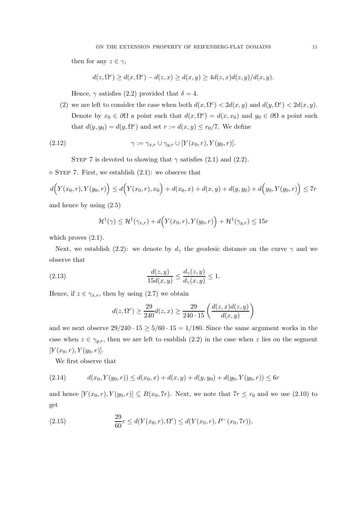then for any  $z \in \gamma$ ,

$$
d(z, \Omega^c) \ge d(x, \Omega^c) - d(z, x) \ge d(x, y) \ge 4d(z, x)d(z, y)/d(x, y).
$$

Hence,  $\gamma$  satisfies (2.2) provided that  $\delta = 4$ .

(2) we are left to consider the case when both  $d(x, \Omega^c) < 2d(x, y)$  and  $d(y, \Omega^c) < 2d(x, y)$ . Denote by  $x_0 \in \partial \Omega$  a point such that  $d(x, \Omega^c) = d(x, x_0)$  and  $y_0 \in \partial \Omega$  a point such that  $d(y, y_0) = d(y, \Omega^c)$  and set  $r := d(x, y) \le r_0/7$ . We define

(2.12) 
$$
\gamma := \gamma_{x,r} \cup \gamma_{y,r} \cup [Y(x_0,r), Y(y_0,r)].
$$

STEP 7 is devoted to showing that  $\gamma$  satisfies (2.1) and (2.2).

 $\diamond$  STEP 7. First, we establish (2.1): we observe that

$$
d(Y(x_0,r), Y(y_0,r)) \le d(Y(x_0,r),x_0) + d(x_0,x) + d(x,y) + d(y,y_0) + d(y_0,Y(y_0,r)) \le 7r
$$

and hence by using (2.5)

$$
\mathcal{H}^1(\gamma) \leq \mathcal{H}^1(\gamma_{x,r}) + d(\mathcal{Y}(x_0,r), \mathcal{Y}(y_0,r)) + \mathcal{H}^1(\gamma_{y,r}) \leq 15r
$$

which proves  $(2.1)$ .

Next, we establish (2.2): we denote by  $d_{\gamma}$  the geodesic distance on the curve  $\gamma$  and we observe that

(2.13) 
$$
\frac{d(z,y)}{15d(x,y)} \le \frac{d_{\gamma}(z,y)}{d_{\gamma}(x,y)} \le 1.
$$

Hence, if  $z \in \gamma_{x,r}$ , then by using (2.7) we obtain

$$
d(z, \Omega^{c}) \ge \frac{29}{240} d(z, x) \ge \frac{29}{240 \cdot 15} \left( \frac{d(z, x) d(z, y)}{d(x, y)} \right)
$$

and we next observe  $29/240 \cdot 15 \ge 5/60 \cdot 15 = 1/180$ . Since the same argument works in the case when  $z \in \gamma_{y,r}$ , then we are left to esablish (2.2) in the case when z lies on the segment  $[Y(x_0, r), Y(y_0, r)].$ 

We first observe that

$$
(2.14) \t d(x_0, Y(y_0, r)) \leq d(x_0, x) + d(x, y) + d(y, y_0) + d(y_0, Y(y_0, r)) \leq 6r
$$

and hence  $[Y(x_0,r), Y(y_0,r)] \subseteq B(x_0, 7r)$ . Next, we note that  $7r \le r_0$  and we use (2.10) to get

(2.15) 
$$
\frac{29}{60}r \le d(Y(x_0, r), \Omega^c) \le d(Y(x_0, r), P^-(x_0, 7r)),
$$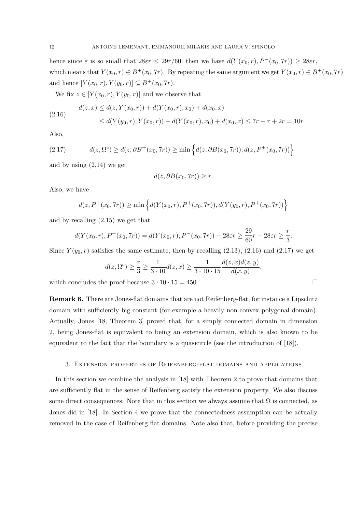hence since  $\varepsilon$  is so small that  $28\varepsilon r \leq 29r/60$ , then we have  $d(Y(x_0, r), P^-(x_0, 7r)) \geq 28\varepsilon r$ , which means that  $Y(x_0, r) \in B^+(x_0, 7r)$ . By repeating the same argument we get  $Y(x_0, r) \in B^+(x_0, 7r)$ and hence  $[Y(x_0, r), Y(y_0, r)] \subseteq B^+(x_0, 7r)$ .

We fix  $z \in [Y(x_0, r), Y(y_0, r)]$  and we observe that

$$
\begin{aligned} d(z,x) &\le d(z,Y(x_0,r)) + d(Y(x_0,r),x_0) + d(x_0,x) \\ &\le d(Y(y_0,r),Y(x_0,r)) + d(Y(x_0,r),x_0) + d(x_0,x) \le 7r + r + 2r = 10r. \end{aligned}
$$

Also,

(2.17) 
$$
d(z, \Omega^c) \ge d(z, \partial B^+(x_0, 7r)) \ge \min \left\{ d(z, \partial B(x_0, 7r)); d(z, P^+(x_0, 7r)) \right\}
$$

and by using (2.14) we get

$$
d(z, \partial B(x_0, 7r)) \ge r.
$$

Also, we have

$$
d(z, P^+(x_0, 7r)) \ge \min\left\{d(Y(x_0, r), P^+(x_0, 7r)), d(Y(y_0, r), P^+(x_0, 7r))\right\}
$$

and by recalling (2.15) we get that

$$
d(Y(x_0,r), P^+(x_0,7r)) = d(Y(x_0,r), P^-(x_0,7r)) - 28\varepsilon r \ge \frac{29}{60}r - 28\varepsilon r \ge \frac{r}{3}.
$$

Since  $Y(y_0, r)$  satisfies the same estimate, then by recalling (2.13), (2.16) and (2.17) we get

$$
d(z, \Omega^c) \ge \frac{r}{3} \ge \frac{1}{3 \cdot 10} d(z, x) \ge \frac{1}{3 \cdot 10 \cdot 15} \frac{d(z, x) d(z, y)}{d(x, y)},
$$

which concludes the proof because  $3 \cdot 10 \cdot 15 = 450$ .

Remark 6. There are Jones-flat domains that are not Reifenberg-flat, for instance a Lipschitz domain with sufficiently big constant (for example a heavily non convex polygonal domain). Actually, Jones [18, Theorem 3] proved that, for a simply connected domain in dimension 2, being Jones-flat is equivalent to being an extension domain, which is also known to be equivalent to the fact that the boundary is a quasicircle (see the introduction of [18]).

## 3. Extension properties of Reifenberg-flat domains and applications

In this section we combine the analysis in [18] with Theorem 2 to prove that domains that are sufficiently flat in the sense of Reifenberg satisfy the extension property. We also discuss some direct consequences. Note that in this section we always assume that  $\Omega$  is connected, as Jones did in [18]. In Section 4 we prove that the connectedness assumption can be actually removed in the case of Reifenberg flat domains. Note also that, before providing the precise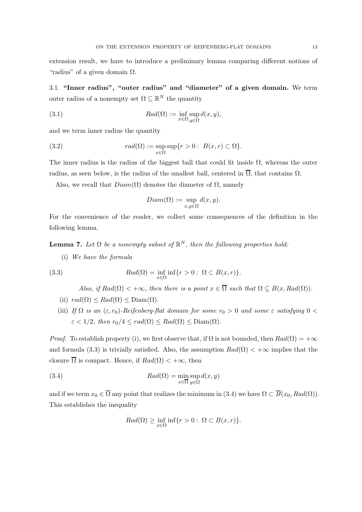extension result, we have to introduce a preliminary lemma comparing different notions of "radius" of a given domain  $\Omega$ .

3.1. "Inner radius", "outer radius" and "diameter" of a given domain. We term outer radius of a nonempty set  $\Omega \subseteq \mathbb{R}^N$  the quantity

(3.1) 
$$
Rad(\Omega) := \inf_{x \in \Omega} \sup_{y \in \Omega} d(x, y),
$$

and we term inner radius the quantity

(3.2) 
$$
rad(\Omega) := \sup_{x \in \Omega} \sup \{r > 0 : B(x, r) \subset \Omega\}.
$$

The inner radius is the radius of the biggest ball that could fit inside  $\Omega$ , whereas the outer radius, as seen below, is the radius of the smallest ball, centered in  $\overline{\Omega}$ , that contains  $\Omega$ .

Also, we recall that  $Diam(\Omega)$  denotes the diameter of  $\Omega$ , namely

$$
Diam(\Omega) := \sup_{x,y \in \Omega} d(x,y).
$$

For the convenience of the reader, we collect some consequences of the definition in the following lemma.

**Lemma 7.** Let  $\Omega$  be a nonempty subset of  $\mathbb{R}^N$ , then the following properties hold:

(i) *We have the formula*

(3.3) 
$$
Rad(\Omega) = \inf_{x \in \Omega} \inf \{ r > 0 : \ \Omega \subset B(x, r) \}.
$$

*Also, if*  $Rad(\Omega) < +\infty$ *, then there is a point*  $x \in \overline{\Omega}$  *such that*  $\Omega \subseteq B(x, Rad(\Omega))$ *.* 

- (ii)  $rad(\Omega) \leq Rad(\Omega) \leq Diam(\Omega)$ .
- (iii) *If*  $\Omega$  *is an*  $(\varepsilon, r_0)$ *-Reifenberg-flat domain for some*  $r_0 > 0$  *and some*  $\varepsilon$  *satisfying*  $0 <$  $\varepsilon < 1/2$ , then  $r_0/4 \leq rad(\Omega) \leq Rad(\Omega) \leq Diam(\Omega)$ .

*Proof.* To establish property (i), we first observe that, if  $\Omega$  is not bounded, then  $Rad(\Omega) = +\infty$ and formula (3.3) is trivially satisfied. Also, the assumption  $Rad(\Omega) < +\infty$  implies that the closure  $\overline{\Omega}$  is compact. Hence, if  $Rad(\Omega) < +\infty$ , then

(3.4) 
$$
Rad(\Omega) = \min_{x \in \overline{\Omega}} \sup_{y \in \Omega} d(x, y)
$$

and if we term  $x_0 \in \overline{\Omega}$  any point that realizes the minimum in (3.4) we have  $\Omega \subset \overline{B}(x_0, Rad(\Omega))$ . This establishes the inequality

$$
Rad(\Omega) \ge \inf_{x \in \Omega} \inf \{ r > 0 : \ \Omega \subset B(x,r) \}.
$$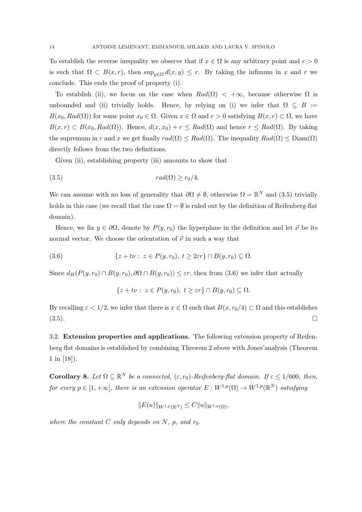To establish the reverse inequality we observe that if  $x \in \Omega$  is any arbitrary point and  $r > 0$ is such that  $\Omega \subset B(x,r)$ , then  $\sup_{y \in \Omega} d(x,y) \leq r$ . By taking the infimum in x and r we conclude. This ends the proof of property (i).

To establish (ii), we focus on the case when  $Rad(\Omega) < +\infty$ , because otherwise  $\Omega$  is unbounded and (ii) trivially holds. Hence, by relying on (i) we infer that  $\Omega \subseteq B :=$  $B(x_0, Rad(\Omega))$  for some point  $x_0 \in \Omega$ . Given  $x \in \Omega$  and  $r > 0$  satisfying  $B(x,r) \subset \Omega$ , we have  $B(x, r) \subset B(x_0, Rad(\Omega))$ . Hence,  $d(x, x_0) + r \le Rad(\Omega)$  and hence  $r \le Rad(\Omega)$ . By taking the supremum in r and x we get finally  $rad(\Omega) \leq Rad(\Omega)$ . The inequality  $Rad(\Omega) \leq Diam(\Omega)$ directly follows from the two definitions.

Given (ii), establishing property (iii) amounts to show that

$$
(3.5) \t rad(\Omega) \ge r_0/4.
$$

We can assume with no loss of generality that  $\partial\Omega \neq \emptyset$ , otherwise  $\Omega = \mathbb{R}^N$  and (3.5) trivially holds in this case (we recall that the case  $\Omega = \emptyset$  is ruled out by the definition of Reifenberg-flat domain).

Hence, we fix  $y \in \partial \Omega$ , denote by  $P(y, r_0)$  the hyperplane in the definition and let  $\vec{\nu}$  be its normal vector. We choose the orientation of  $\vec{\nu}$  in such a way that

(3.6) 
$$
\{z+t\nu: z \in P(y,r_0), t \geq 2\varepsilon r\} \cap B(y,r_0) \subseteq \Omega.
$$

Since  $d_H(P(y, r_0) \cap B(y, r_0), \partial \Omega \cap B(y, r_0)) \leq \varepsilon r$ , then from (3.6) we infer that actually

$$
\{z+t\nu:\ z\in P(y,r_0),\ t\geq \varepsilon r\}\cap B(y,r_0)\subseteq \Omega.
$$

By recalling  $\varepsilon < 1/2$ , we infer that there is  $x \in \Omega$  such that  $B(x, r_0/4) \subset \Omega$  and this establishes  $(3.5)$ .

3.2. Extension properties and applications. The following extension property of Reifenberg flat domains is established by combining Theorem 2 above with Jones'analysis (Theorem 1 in [18]).

**Corollary 8.** Let  $\Omega \subseteq \mathbb{R}^N$  be a connected,  $(\varepsilon, r_0)$ -Reifenberg-flat domain. If  $\varepsilon \leq 1/600$ , then, *for every*  $p \in [1, +\infty]$ , there is an extension operator  $E: W^{1,p}(\Omega) \to W^{1,p}(\mathbb{R}^N)$  satisfying

$$
||E(u)||_{W^{1,p}(\mathbb{R}^N)} \leq C||u||_{W^{1,p}(\Omega)},
$$

*where the constant*  $C$  *only depends on*  $N$ *, p, and*  $r_0$ *.*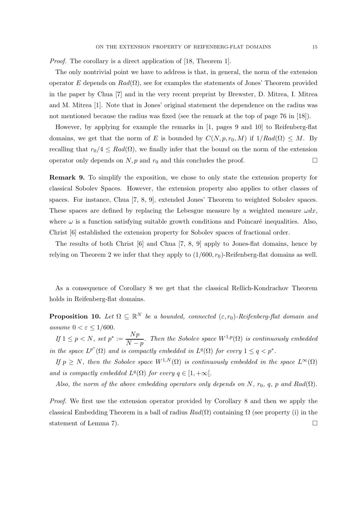*Proof.* The corollary is a direct application of [18, Theorem 1].

The only nontrivial point we have to address is that, in general, the norm of the extension operator E depends on  $Rad(\Omega)$ , see for examples the statements of Jones' Theorem provided in the paper by Chua [7] and in the very recent preprint by Brewster, D. Mitrea, I. Mitrea and M. Mitrea [1]. Note that in Jones' original statement the dependence on the radius was not mentioned because the radius was fixed (see the remark at the top of page 76 in [18]).

However, by applying for example the remarks in [1, pages 9 and 10] to Reifenberg-flat domains, we get that the norm of E is bounded by  $C(N, p, r_0, M)$  if  $1/Rad(\Omega) \leq M$ . By recalling that  $r_0/4 \leq Rad(\Omega)$ , we finally infer that the bound on the norm of the extension operator only depends on  $N, p$  and  $r_0$  and this concludes the proof.

Remark 9. To simplify the exposition, we chose to only state the extension property for classical Sobolev Spaces. However, the extension property also applies to other classes of spaces. For instance, Chua [7, 8, 9], extended Jones' Theorem to weighted Sobolev spaces. These spaces are defined by replacing the Lebesgue measure by a weighted measure  $\omega dx$ , where  $\omega$  is a function satisfying suitable growth conditions and Poincaré inequalities. Also, Christ [6] established the extension property for Sobolev spaces of fractional order.

The results of both Christ [6] and Chua [7, 8, 9] apply to Jones-flat domains, hence by relying on Theorem 2 we infer that they apply to  $(1/600, r_0)$ -Reifenberg-flat domains as well.

As a consequence of Corollary 8 we get that the classical Rellich-Kondrachov Theorem holds in Reifenberg-flat domains.

**Proposition 10.** Let  $\Omega \subseteq \mathbb{R}^N$  be a bounded, connected  $(\varepsilon, r_0)$ -Reifenberg-flat domain and *assume*  $0 < \varepsilon \leq 1/600$ .

 $\emph{If }~1\leq p < N,~ set~p^* := \frac{Np}{N-1}$  $N-p$ *a. Then the Sobolev space*  $W^{1,p}(\Omega)$  *is continuously embedded in the space*  $L^{p^*}(\Omega)$  *and is compactly embedded in*  $L^q(\Omega)$  *for every*  $1 \leq q < p^*$ *.* 

*If*  $p \geq N$ , then the Sobolev space  $W^{1,N}(\Omega)$  *is continuously embedded in the space*  $L^{\infty}(\Omega)$ *and is compactly embedded*  $L^q(\Omega)$  *for every*  $q \in [1, +\infty)$ .

*Also, the norm of the above embedding operators only depends on* N,  $r_0$ , q, p and Rad( $\Omega$ ).

*Proof.* We first use the extension operator provided by Corollary 8 and then we apply the classical Embedding Theorem in a ball of radius  $Rad(\Omega)$  containing  $\Omega$  (see property (i) in the statement of Lemma 7).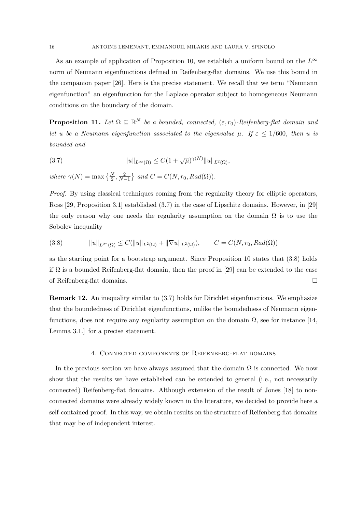As an example of application of Proposition 10, we establish a uniform bound on the  $L^{\infty}$ norm of Neumann eigenfunctions defined in Reifenberg-flat domains. We use this bound in the companion paper [26]. Here is the precise statement. We recall that we term "Neumann eigenfunction" an eigenfunction for the Laplace operator subject to homogeneous Neumann conditions on the boundary of the domain.

**Proposition 11.** Let  $\Omega \subseteq \mathbb{R}^N$  be a bounded, connected,  $(\varepsilon, r_0)$ -Reifenberg-flat domain and *let u be a Neumann eigenfunction associated to the eigenvalue*  $\mu$ *. If*  $\epsilon \leq 1/600$ *, then u is bounded and*

(3.7) 
$$
||u||_{L^{\infty}(\Omega)} \leq C(1+\sqrt{\mu})^{\gamma(N)}||u||_{L^{2}(\Omega)},
$$

where  $\gamma(N) = \max\left\{\frac{N}{2}, \frac{2}{N-1}\right\}$  and  $C = C(N, r_0, Rad(\Omega)).$ 

*Proof.* By using classical techniques coming from the regularity theory for elliptic operators, Ross [29, Proposition 3.1] established (3.7) in the case of Lipschitz domains. However, in [29] the only reason why one needs the regularity assumption on the domain  $\Omega$  is to use the Sobolev inequality

(3.8) 
$$
||u||_{L^{2^*}(\Omega)} \leq C(||u||_{L^2(\Omega)} + ||\nabla u||_{L^2(\Omega)}), \qquad C = C(N, r_0, Rad(\Omega))
$$

as the starting point for a bootstrap argument. Since Proposition 10 states that (3.8) holds if  $\Omega$  is a bounded Reifenberg-flat domain, then the proof in [29] can be extended to the case of Reifenberg-flat domains.

Remark 12. An inequality similar to (3.7) holds for Dirichlet eigenfunctions. We emphasize that the boundedness of Dirichlet eigenfunctions, unlike the boundedness of Neumann eigenfunctions, does not require any regularity assumption on the domain  $\Omega$ , see for instance [14, Lemma 3.1.] for a precise statement.

## 4. Connected components of Reifenberg-flat domains

In the previous section we have always assumed that the domain  $\Omega$  is connected. We now show that the results we have established can be extended to general (i.e., not necessarily connected) Reifenberg-flat domains. Although extension of the result of Jones [18] to nonconnected domains were already widely known in the literature, we decided to provide here a self-contained proof. In this way, we obtain results on the structure of Reifenberg-flat domains that may be of independent interest.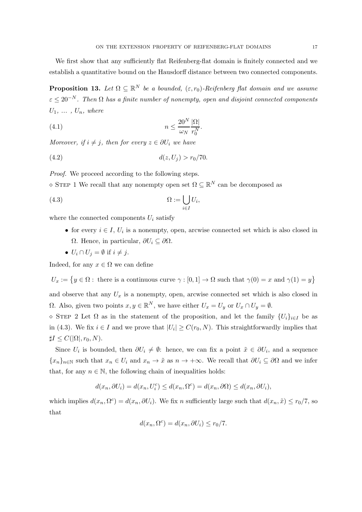We first show that any sufficiently flat Reifenberg-flat domain is finitely connected and we establish a quantitative bound on the Hausdorff distance between two connected components.

**Proposition 13.** Let  $\Omega \subseteq \mathbb{R}^N$  be a bounded,  $(\varepsilon, r_0)$ -Reifenberg flat domain and we assume  $\varepsilon \leq 20^{-N}$ . Then  $\Omega$  has a finite number of nonempty, open and disjoint connected components  $U_1, \ldots, U_n,$  where

$$
(4.1) \t\t n \le \frac{20^N}{\omega_N} \frac{|\Omega|}{r_0^N}.
$$

*Moreover, if*  $i \neq j$ *, then for every*  $z \in \partial U_i$  *we have* 

$$
(4.2) \t\t d(z, U_j) > r_0/70.
$$

*Proof.* We proceed according to the following steps.

 $\Diamond$  STEP 1 We recall that any nonempty open set  $\Omega \subseteq \mathbb{R}^N$  can be decomposed as

$$
(4.3) \t\t \t\t \Omega := \bigcup_{i \in I} U_i,
$$

where the connected components  $U_i$  satisfy

- for every  $i \in I$ ,  $U_i$  is a nonempty, open, arcwise connected set which is also closed in Ω. Hence, in particular,  $\partial U_i$  ⊆  $\partial Ω$ .
- $U_i \cap U_j = \emptyset$  if  $i \neq j$ .

Indeed, for any  $x \in \Omega$  we can define

 $U_x := \{y \in \Omega : \text{ there is a continuous curve } \gamma : [0,1] \to \Omega \text{ such that } \gamma(0) = x \text{ and } \gamma(1) = y\}$ 

and observe that any  $U_x$  is a nonempty, open, arcwise connected set which is also closed in  $\Omega$ . Also, given two points  $x, y \in \mathbb{R}^N$ , we have either  $U_x = U_y$  or  $U_x \cap U_y = \emptyset$ .

 $\Diamond$  STEP 2 Let  $\Omega$  as in the statement of the proposition, and let the family  $\{U_i\}_{i\in I}$  be as in (4.3). We fix  $i \in I$  and we prove that  $|U_i| \ge C(r_0, N)$ . This straightforwardly implies that  $\sharp I \leq C(|\Omega|, r_0, N).$ 

Since  $U_i$  is bounded, then  $\partial U_i \neq \emptyset$ : hence, we can fix a point  $\tilde{x} \in \partial U_i$ , and a sequence  ${x_n}_{n\in\mathbb{N}}$  such that  $x_n \in U_i$  and  $x_n \to \tilde{x}$  as  $n \to +\infty$ . We recall that  $\partial U_i \subseteq \partial \Omega$  and we infer that, for any  $n \in \mathbb{N}$ , the following chain of inequalities holds:

$$
d(x_n, \partial U_i) = d(x_n, U_i^c) \le d(x_n, \Omega^c) = d(x_n, \partial \Omega) \le d(x_n, \partial U_i),
$$

which implies  $d(x_n, \Omega^c) = d(x_n, \partial U_i)$ . We fix n sufficiently large such that  $d(x_n, \tilde{x}) \leq r_0/7$ , so that

$$
d(x_n, \Omega^c) = d(x_n, \partial U_i) \le r_0/7.
$$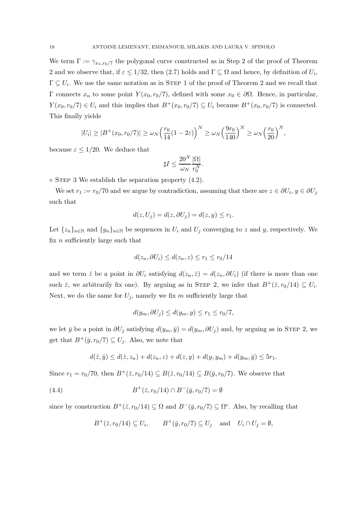We term  $\Gamma := \gamma_{x_n, r_0/7}$  the polygonal curve constructed as in Step 2 of the proof of Theorem 2 and we observe that, if  $\varepsilon \leq 1/32$ , then (2.7) holds and  $\Gamma \subseteq \Omega$  and hence, by definition of  $U_i$ ,  $\Gamma \subseteq U_i$ . We use the same notation as in STEP 1 of the proof of Theorem 2 and we recall that Γ connects  $x_n$  to some point  $Y(x_0, r_0/7)$ , defined with some  $x_0 ∈ ∂Ω$ . Hence, in particular,  $Y(x_0, r_0/7) \in U_i$  and this implies that  $B^+(x_0, r_0/7) \subseteq U_i$  because  $B^+(x_0, r_0/7)$  is connected. This finally yields

$$
|U_i| \geq |B^+(x_0, r_0/7)| \geq \omega_N \left(\frac{r_0}{14}(1-2\varepsilon)\right)^N \geq \omega_N \left(\frac{9r_0}{140}\right)^N \geq \omega_N \left(\frac{r_0}{20}\right)^N,
$$

because  $\varepsilon \leq 1/20$ . We deduce that

$$
\sharp I \leq \frac{20^N}{\omega_N} \frac{|\Omega|}{r_0^N}.
$$

 $\diamond$  STEP 3 We establish the separation property (4.2).

We set  $r_1 := r_0/70$  and we argue by contradiction, assuming that there are  $z \in \partial U_i$ ,  $y \in \partial U_j$ such that

$$
d(z, U_j) = d(z, \partial U_j) = d(z, y) \le r_1.
$$

Let  $\{z_n\}_{n\in\mathbb{N}}$  and  $\{y_n\}_{n\in\mathbb{N}}$  be sequences in  $U_i$  and  $U_j$  converging to z and y, respectively. We fix  $n$  sufficiently large such that

$$
d(z_n, \partial U_i) \le d(z_n, z) \le r_1 \le r_0/14
$$

and we term  $\bar{z}$  be a point in  $\partial U_i$  satisfying  $d(z_n, \bar{z}) = d(z_n, \partial U_i)$  (if there is more than one such  $\bar{z}$ , we arbitrarily fix one). By arguing as in STEP 2, we infer that  $B^+(\bar{z}, r_0/14) \subseteq U_i$ . Next, we do the same for  $U_j$ , namely we fix m sufficiently large that

$$
d(y_m, \partial U_j) \le d(y_m, y) \le r_1 \le r_0/7,
$$

we let  $\bar{y}$  be a point in  $\partial U_j$  satisfying  $d(y_m, \bar{y}) = d(y_m, \partial U_j)$  and, by arguing as in STEP 2, we get that  $B^+(\bar{y}, r_0/7) \subseteq U_j$ . Also, we note that

$$
d(\bar{z}, \bar{y}) \le d(\bar{z}, z_n) + d(z_n, z) + d(z, y) + d(y, y_m) + d(y_m, \bar{y}) \le 5r_1.
$$

Since  $r_1 = r_0/70$ , then  $B^+(\bar{z}, r_0/14) \subseteq B(\bar{z}, r_0/14) \subseteq B(\bar{y}, r_0/7)$ . We observe that

(4.4) 
$$
B^+(\bar{z}, r_0/14) \cap B^-(\bar{y}, r_0/7) = \emptyset
$$

since by construction  $B^+(\bar{z}, r_0/14) \subseteq \Omega$  and  $B^-(\bar{y}, r_0/7) \subseteq \Omega^c$ . Also, by recalling that

$$
B^+(\overline{z}, r_0/14) \subseteq U_i
$$
,  $B^+(\overline{y}, r_0/7) \subseteq U_j$  and  $U_i \cap U_j = \emptyset$ ,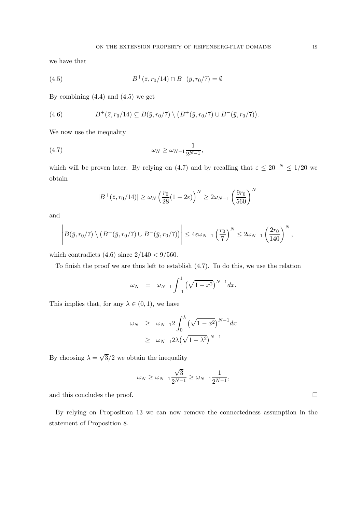we have that

(4.5) 
$$
B^+(\bar{z}, r_0/14) \cap B^+(\bar{y}, r_0/7) = \emptyset
$$

By combining  $(4.4)$  and  $(4.5)$  we get

(4.6) 
$$
B^+(\bar{z}, r_0/14) \subseteq B(\bar{y}, r_0/7) \setminus (B^+(\bar{y}, r_0/7) \cup B^-(\bar{y}, r_0/7)).
$$

We now use the inequality

$$
\omega_N \ge \omega_{N-1} \frac{1}{2^{N-1}},
$$

which will be proven later. By relying on (4.7) and by recalling that  $\varepsilon \leq 20^{-N} \leq 1/20$  we obtain

$$
|B^+(\bar{z}, r_0/14)| \ge \omega_N \left(\frac{r_0}{28} (1 - 2\varepsilon)\right)^N \ge 2\omega_{N-1} \left(\frac{9r_0}{560}\right)^N
$$

and

$$
\left| B(\bar{y},r_0/7) \setminus (B^+(\bar{y},r_0/7) \cup B^-(\bar{y},r_0/7)) \right| \leq 4\varepsilon \omega_{N-1} \left(\frac{r_0}{7}\right)^N \leq 2\omega_{N-1} \left(\frac{2r_0}{140}\right)^N,
$$

which contradicts  $(4.6)$  since  $2/140 < 9/560$ .

To finish the proof we are thus left to establish (4.7). To do this, we use the relation

$$
\omega_N = \omega_{N-1} \int_{-1}^1 (\sqrt{1-x^2})^{N-1} dx.
$$

This implies that, for any  $\lambda \in (0,1)$ , we have

$$
\omega_N \geq \omega_{N-1} 2 \int_0^{\lambda} (\sqrt{1-x^2})^{N-1} dx
$$
  
 
$$
\geq \omega_{N-1} 2\lambda (\sqrt{1-\lambda^2})^{N-1}
$$

By choosing  $\lambda = \sqrt{3}/2$  we obtain the inequality

$$
\omega_N \geq \omega_{N-1} \frac{\sqrt{3}}{2^{N-1}} \geq \omega_{N-1} \frac{1}{2^{N-1}},
$$

and this concludes the proof.  $\Box$ 

By relying on Proposition 13 we can now remove the connectedness assumption in the statement of Proposition 8.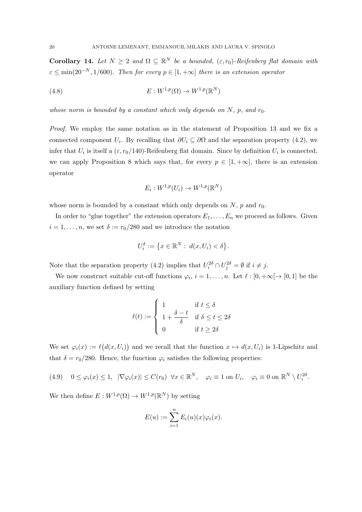Corollary 14. Let  $N \geq 2$  and  $\Omega \subseteq \mathbb{R}^N$  be a bounded,  $(\varepsilon, r_0)$ -Reifenberg flat domain with  $\varepsilon \le \min(20^{-N}, 1/600)$ *. Then for every*  $p \in [1, +\infty]$  *there is an extension operator* 

(4.8) 
$$
E: W^{1,p}(\Omega) \to W^{1,p}(\mathbb{R}^N)
$$

*whose norm is bounded by a constant which only depends on*  $N$ *, p, and*  $r_0$ *.* 

*Proof.* We employ the same notation as in the statement of Proposition 13 and we fix a connected component  $U_i$ . By recalling that  $\partial U_i \subseteq \partial \Omega$  and the separation property (4.2), we infer that  $U_i$  is itself a  $(\varepsilon, r_0/140)$ -Reifenberg flat domain. Since by definition  $U_i$  is connected, we can apply Proposition 8 which says that, for every  $p \in [1, +\infty]$ , there is an extension operator

$$
E_i: W^{1,p}(U_i) \to W^{1,p}(\mathbb{R}^N)
$$

whose norm is bounded by a constant which only depends on  $N$ ,  $p$  and  $r_0$ .

In order to "glue together" the extension operators  $E_1, \ldots, E_n$  we proceed as follows. Given  $i = 1, \ldots, n$ , we set  $\delta := r_0/280$  and we introduce the notation

$$
U_i^{\delta} := \left\{ x \in \mathbb{R}^N : \ d(x, U_i) < \delta \right\}.
$$

Note that the separation property (4.2) implies that  $U_i^{2\delta} \cap U_j^{2\delta} = \emptyset$  if  $i \neq j$ .

We now construct suitable cut-off functions  $\varphi_i$ ,  $i = 1, ..., n$ . Let  $\ell : [0, +\infty[ \to [0, 1]$  be the auxiliary function defined by setting

$$
\ell(t) := \begin{cases} 1 & \text{if } t \le \delta \\ 1 + \frac{\delta - t}{\delta} & \text{if } \delta \le t \le 2\delta \\ 0 & \text{if } t \ge 2\delta \end{cases}
$$

We set  $\varphi_i(x) := \ell(d(x, U_i))$  and we recall that the function  $x \mapsto d(x, U_i)$  is 1-Lipschitz and that  $\delta = r_0/280$ . Hence, the function  $\varphi_i$  satisfies the following properties:

(4.9) 
$$
0 \le \varphi_i(x) \le 1
$$
,  $|\nabla \varphi_i(x)| \le C(r_0) \quad \forall x \in \mathbb{R}^N$ ,  $\varphi_i \equiv 1$  on  $U_i$ ,  $\varphi_i \equiv 0$  on  $\mathbb{R}^N \setminus U_i^{2\delta}$ .

We then define  $E: W^{1,p}(\Omega) \to W^{1,p}(\mathbb{R}^N)$  by setting

$$
E(u) := \sum_{i=1}^{n} E_i(u)(x)\varphi_i(x).
$$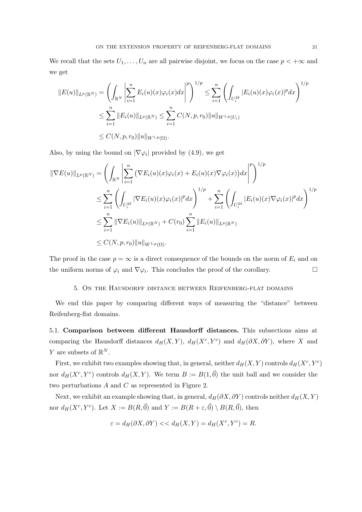We recall that the sets  $U_1, \ldots, U_n$  are all pairwise disjoint, we focus on the case  $p < +\infty$  and we get

$$
||E(u)||_{L^{p}(\mathbb{R}^{N})} = \left(\int_{\mathbb{R}^{N}} \left| \sum_{i=1}^{n} E_{i}(u)(x)\varphi_{i}(x)dx \right|^{p}\right)^{1/p} \leq \sum_{i=1}^{n} \left(\int_{U_{i}^{2\delta}} |E_{i}(u)(x)\varphi_{i}(x)|^{p} dx\right)^{1/p}
$$
  

$$
\leq \sum_{i=1}^{n} ||E_{i}(u)||_{L^{p}(\mathbb{R}^{N})} \leq \sum_{i=1}^{n} C(N, p, r_{0}) ||u||_{W^{1,p}(U_{i})}
$$
  

$$
\leq C(N, p, r_{0}) ||u||_{W^{1,p}(\Omega)}.
$$

Also, by using the bound on  $|\nabla \varphi_i|$  provided by (4.9), we get

$$
\|\nabla E(u)\|_{L^p(\mathbb{R}^N)} = \left(\int_{\mathbb{R}^N} \left| \sum_{i=1}^n (\nabla E_i(u)(x)\varphi_i(x) + E_i(u)(x)\nabla\varphi_i(x))dx \right|^p \right)^{1/p}
$$
  
\n
$$
\leq \sum_{i=1}^n \left( \int_{U_i^{2\delta}} |\nabla E_i(u)(x)\varphi_i(x)|^p dx \right)^{1/p} + \sum_{i=1}^n \left( \int_{U_i^{2\delta}} |E_i(u)(x)\nabla\varphi_i(x)|^p dx \right)^{1/p}
$$
  
\n
$$
\leq \sum_{i=1}^n \|\nabla E_i(u)\|_{L^p(\mathbb{R}^N)} + C(r_0) \sum_{i=1}^n \|E_i(u)\|_{L^p(\mathbb{R}^N)}
$$
  
\n
$$
\leq C(N, p, r_0) \|u\|_{W^{1,p}(\Omega)}.
$$

The proof in the case  $p = \infty$  is a direct consequence of the bounds on the norm of  $E_i$  and on the uniform norms of  $\varphi_i$  and  $\nabla \varphi_i$ . This concludes the proof of the corollary.

#### 5. On the Hausdorff distance between Reifenberg-flat domains

We end this paper by comparing different ways of measuring the "distance" between Reifenberg-flat domains.

5.1. Comparison between different Hausdorff distances. This subsections aims at comparing the Hausdorff distances  $d_H(X, Y)$ ,  $d_H(X^c, Y^c)$  and  $d_H(\partial X, \partial Y)$ , where X and Y are subsets of  $\mathbb{R}^N$ .

First, we exhibit two examples showing that, in general, neither  $d_H(X, Y)$  controls  $d_H(X^c, Y^c)$ nor  $d_H(X^c, Y^c)$  controls  $d_H(X, Y)$ . We term  $B := B(1, \vec{0})$  the unit ball and we consider the two perturbations  $A$  and  $C$  as represented in Figure 2.

Next, we exhibit an example showing that, in general,  $d_H(\partial X, \partial Y)$  controls neither  $d_H(X, Y)$ nor  $d_H(X^c, Y^c)$ . Let  $X := B(R, \vec{0})$  and  $Y := B(R + \varepsilon, \vec{0}) \setminus B(R, \vec{0})$ , then

$$
\varepsilon = d_H(\partial X, \partial Y) \lt \lt d_H(X, Y) = d_H(X^c, Y^c) = R.
$$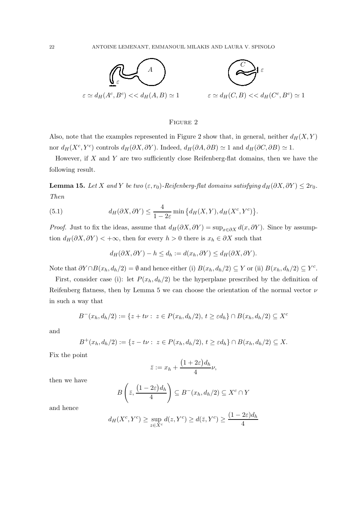

# Figure 2

Also, note that the examples represented in Figure 2 show that, in general, neither  $d_H(X, Y)$ nor  $d_H(X^c, Y^c)$  controls  $d_H(\partial X, \partial Y)$ . Indeed,  $d_H(\partial A, \partial B) \simeq 1$  and  $d_H(\partial C, \partial B) \simeq 1$ .

However, if  $X$  and  $Y$  are two sufficiently close Reifenberg-flat domains, then we have the following result.

**Lemma 15.** Let X and Y be two  $(\varepsilon, r_0)$ -Reifenberg-flat domains satisfying  $d_H(\partial X, \partial Y) \leq 2r_0$ . *Then*

(5.1) 
$$
d_H(\partial X, \partial Y) \leq \frac{4}{1-2\varepsilon} \min \left\{ d_H(X, Y), d_H(X^c, Y^c) \right\}.
$$

*Proof.* Just to fix the ideas, assume that  $d_H(\partial X, \partial Y) = \sup_{x \in \partial X} d(x, \partial Y)$ . Since by assumption  $d_H(\partial X, \partial Y)$  < +∞, then for every  $h > 0$  there is  $x_h \in \partial X$  such that

$$
d_H(\partial X, \partial Y) - h \le d_h := d(x_h, \partial Y) \le d_H(\partial X, \partial Y).
$$

Note that  $\partial Y \cap B(x_h, d_h/2) = \emptyset$  and hence either (i)  $B(x_h, d_h/2) \subseteq Y$  or (ii)  $B(x_h, d_h/2) \subseteq Y^c$ .

First, consider case (i): let  $P(x_h, d_h/2)$  be the hyperplane prescribed by the definition of Reifenberg flatness, then by Lemma 5 we can choose the orientation of the normal vector  $\nu$ in such a way that

$$
B^{-}(x_h, d_h/2) := \{ z + t\nu : z \in P(x_h, d_h/2), t \ge \varepsilon d_h \} \cap B(x_h, d_h/2) \subseteq X^c
$$

and

$$
B^+(x_h, d_h/2) := \{ z - t\nu : z \in P(x_h, d_h/2), t \ge \varepsilon d_h \} \cap B(x_h, d_h/2) \subseteq X.
$$

Fix the point

$$
\bar{z} := x_h + \frac{\left(1 + 2\varepsilon\right) d_h}{4} \nu,
$$

then we have

$$
B\left(\bar{z}, \frac{(1-2\varepsilon)d_h}{4}\right) \subseteq B^-(x_h, d_h/2) \subseteq X^c \cap Y
$$

and hence

$$
d_H(X^c, Y^c) \ge \sup_{z \in X^c} d(z, Y^c) \ge d(\bar{z}, Y^c) \ge \frac{(1 - 2\varepsilon)d_h}{4}
$$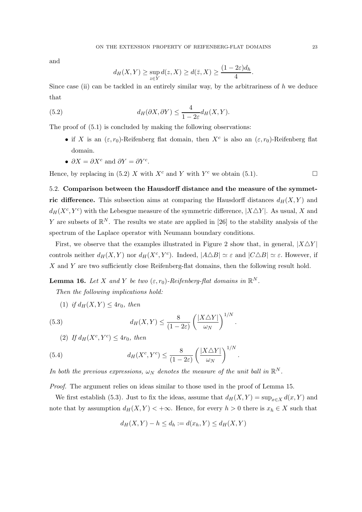and

$$
d_H(X,Y) \ge \sup_{z \in Y} d(z,X) \ge d(\bar{z},X) \ge \frac{(1-2\varepsilon)d_h}{4}.
$$

Since case (ii) can be tackled in an entirely similar way, by the arbitrariness of  $h$  we deduce that

(5.2) 
$$
d_H(\partial X, \partial Y) \leq \frac{4}{1 - 2\varepsilon} d_H(X, Y).
$$

The proof of  $(5.1)$  is concluded by making the following observations:

- if X is an  $(\varepsilon, r_0)$ -Reifenberg flat domain, then  $X^c$  is also an  $(\varepsilon, r_0)$ -Reifenberg flat domain.
- $\partial X = \partial X^c$  and  $\partial Y = \partial Y^c$ .

Hence, by replacing in (5.2) X with  $X^c$  and Y with  $Y^c$  we obtain (5.1).

5.2. Comparison between the Hausdorff distance and the measure of the symmetric difference. This subsection aims at comparing the Hausdorff distances  $d_H(X, Y)$  and  $d_H(X^c, Y^c)$  with the Lebesgue measure of the symmetric difference,  $|X \triangle Y|$ . As usual, X and Y are subsets of  $\mathbb{R}^N$ . The results we state are applied in [26] to the stability analysis of the spectrum of the Laplace operator with Neumann boundary conditions.

First, we observe that the examples illustrated in Figure 2 show that, in general,  $|X\triangle Y|$ controls neither  $d_H(X, Y)$  nor  $d_H(X^c, Y^c)$ . Indeed,  $|A \triangle B| \simeq \varepsilon$  and  $|C \triangle B| \simeq \varepsilon$ . However, if X and Y are two sufficiently close Reifenberg-flat domains, then the following result hold.

.

.

**Lemma 16.** Let X and Y be two  $(\varepsilon, r_0)$ -Reifenberg-flat domains in  $\mathbb{R}^N$ .

*Then the following implications hold:*

(1) *if*  $d_H(X, Y) \leq 4r_0$ *, then* 

(5.3) 
$$
d_H(X,Y) \leq \frac{8}{(1-2\varepsilon)} \left(\frac{|X\triangle Y|}{\omega_N}\right)^{1/N}
$$

(2) If 
$$
d_H(X^c, Y^c) \le 4r_0
$$
, then

(5.4) 
$$
d_H(X^c, Y^c) \leq \frac{8}{(1 - 2\varepsilon)} \left(\frac{|X \triangle Y|}{\omega_N}\right)^{1/N}
$$

*In both the previous expressions,*  $\omega_N$  *denotes the measure of the unit ball in*  $\mathbb{R}^N$ *.* 

*Proof.* The argument relies on ideas similar to those used in the proof of Lemma 15.

We first establish (5.3). Just to fix the ideas, assume that  $d_H(X, Y) = \sup_{x \in X} d(x, Y)$  and note that by assumption  $d_H(X, Y) < +\infty$ . Hence, for every  $h > 0$  there is  $x_h \in X$  such that

$$
d_H(X,Y) - h \le d_h := d(x_h, Y) \le d_H(X,Y)
$$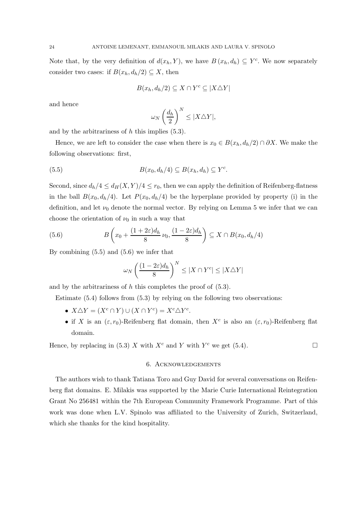Note that, by the very definition of  $d(x_h, Y)$ , we have  $B(x_h, d_h) \subseteq Y^c$ . We now separately consider two cases: if  $B(x_h, d_h/2) \subseteq X$ , then

$$
B(x_h, d_h/2) \subseteq X \cap Y^c \subseteq |X \triangle Y|
$$

and hence

$$
\omega_N \left(\frac{d_h}{2}\right)^N \le |X \triangle Y|,
$$

and by the arbitrariness of  $h$  this implies  $(5.3)$ .

Hence, we are left to consider the case when there is  $x_0 \in B(x_h, d_h/2) \cap \partial X$ . We make the following observations: first,

(5.5) 
$$
B(x_0, d_h/4) \subseteq B(x_h, d_h) \subseteq Y^c.
$$

Second, since  $d_h/4 \leq d_H(X, Y)/4 \leq r_0$ , then we can apply the definition of Reifenberg-flatness in the ball  $B(x_0, d_h/4)$ . Let  $P(x_0, d_h/4)$  be the hyperplane provided by property (i) in the definition, and let  $\nu_0$  denote the normal vector. By relying on Lemma 5 we infer that we can choose the orientation of  $\nu_0$  in such a way that

(5.6) 
$$
B\left(x_0 + \frac{(1+2\varepsilon)d_h}{8}\nu_0, \frac{(1-2\varepsilon)d_h}{8}\right) \subseteq X \cap B(x_0, d_h/4)
$$

By combining (5.5) and (5.6) we infer that

$$
\omega_N\left(\frac{(1-2\varepsilon)d_h}{8}\right)^N\leq |X\cap Y^c|\leq |X\triangle Y|
$$

and by the arbitrariness of  $h$  this completes the proof of  $(5.3)$ .

Estimate (5.4) follows from (5.3) by relying on the following two observations:

- $X \triangle Y = (X^c \cap Y) \cup (X \cap Y^c) = X^c \triangle Y^c$ .
- if X is an  $(\varepsilon, r_0)$ -Reifenberg flat domain, then  $X^c$  is also an  $(\varepsilon, r_0)$ -Reifenberg flat domain.

Hence, by replacing in (5.3) X with  $X^c$  and Y with  $Y^c$  we get (5.4).

# 6. Acknowledgements

The authors wish to thank Tatiana Toro and Guy David for several conversations on Reifenberg flat domains. E. Milakis was supported by the Marie Curie International Reintegration Grant No 256481 within the 7th European Community Framework Programme. Part of this work was done when L.V. Spinolo was affiliated to the University of Zurich, Switzerland, which she thanks for the kind hospitality.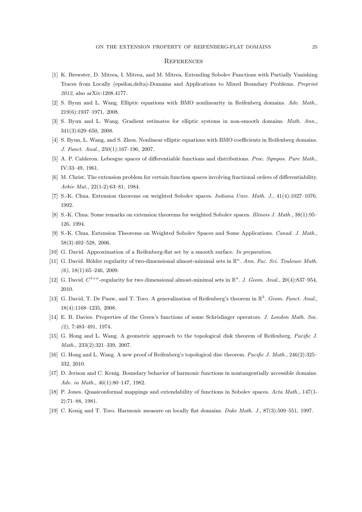#### **REFERENCES**

- [1] K. Brewster, D. Mitrea, I. Mitrea, and M. Mitrea. Extending Sobolev Functions with Partially Vanishing Traces from Locally (epsilon,delta)-Domains and Applications to Mixed Boundary Problems. Preprint 2012, also arXiv:1208.4177.
- [2] S. Byun and L. Wang. Elliptic equations with BMO nonlinearity in Reifenberg domains. Adv. Math., 219(6):1937–1971, 2008.
- [3] S. Byun and L. Wang. Gradient estimates for elliptic systems in non-smooth domains. Math. Ann., 341(3):629–650, 2008.
- [4] S. Byun, L. Wang, and S. Zhou. Nonlinear elliptic equations with BMO coefficients in Reifenberg domains. J. Funct. Anal., 250(1):167–196, 2007.
- [5] A. P. Calderon. Lebesgue spaces of differentiable functions and distributions. Proc. Sympos. Pure Math., IV:33–49, 1961.
- [6] M. Christ. The extension problem for certain function spaces involving fractional orders of differentiability. Arkiv Mat., 22(1-2):63–81, 1984.
- [7] S.-K. Chua. Extension theorems on weighted Sobolev spaces. Indiana Univ. Math. J., 41(4):1027–1076, 1992.
- [8] S.-K. Chua. Some remarks on extension theorems for weighted Sobolev spaces. Illinois J. Math., 38(1):95– 126, 1994.
- [9] S.-K. Chua. Extension Theorems on Weighted Sobolev Spaces and Some Applications. Canad. J. Math., 58(3):492–528, 2006.
- [10] G. David. Approximation of a Reifenberg-flat set by a smooth surface. In preparation.
- [11] G. David. Hölder regularity of two-dimensional almost-minimal sets in  $\mathbb{R}^n$ . Ann. Fac. Sci. Toulouse Math.  $(6)$ , 18(1):65-246, 2009.
- [12] G. David.  $C^{1+\alpha}$ -regularity for two dimensional almost-minimal sets in  $\mathbb{R}^n$ . J. Geom. Anal., 20(4):837-954, 2010.
- [13] G. David, T. De Pauw, and T. Toro. A generalization of Reifenberg's theorem in  $\mathbb{R}^3$ . Geom. Funct. Anal., 18(4):1168–1235, 2008.
- [14] E. B. Davies. Properties of the Green's functions of some Schrödinger operators. J. London Math. Soc. (2), 7:483–491, 1974.
- [15] G. Hong and L. Wang. A geometric approach to the topological disk theorem of Reifenberg. Pacific J. Math., 233(2):321–339, 2007.
- [16] G. Hong and L. Wang. A new proof of Reifenberg's topological disc theorem. Pacific J. Math., 246(2):325– 332, 2010.
- [17] D. Jerison and C. Kenig. Boundary behavior of harmonic functions in nontangentially accessible domains. Adv. in Math., 46(1):80–147, 1982.
- [18] P. Jones. Quasiconformal mappings and extendability of functions in Sobolev spaces. Acta Math., 147(1- 2):71–88, 1981.
- [19] C. Kenig and T. Toro. Harmonic measure on locally flat domains. Duke Math. J., 87(3):509–551, 1997.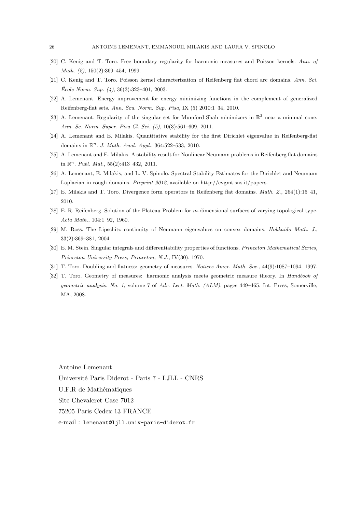- [20] C. Kenig and T. Toro. Free boundary regularity for harmonic measures and Poisson kernels. Ann. of Math. (2), 150(2):369–454, 1999.
- [21] C. Kenig and T. Toro. Poisson kernel characterization of Reifenberg flat chord arc domains. Ann. Sci.  $École Norm. Sup. (4), 36(3):323-401, 2003.$
- [22] A. Lemenant. Energy improvement for energy minimizing functions in the complement of generalized Reifenberg-flat sets. Ann. Scu. Norm. Sup. Pisa, IX (5) 2010:1–34, 2010.
- [23] A. Lemenant. Regularity of the singular set for Mumford-Shah minimizers in  $\mathbb{R}^3$  near a minimal cone. Ann. Sc. Norm. Super. Pisa Cl. Sci. (5), 10(3):561–609, 2011.
- [24] A. Lemenant and E. Milakis. Quantitative stability for the first Dirichlet eigenvalue in Reifenberg-flat domains in  $\mathbb{R}^n$ . J. Math. Anal. Appl., 364:522-533, 2010.
- [25] A. Lemenant and E. Milakis. A stability result for Nonlinear Neumann problems in Reifenberg flat domains in  $\mathbb{R}^n$ . *Publ. Mat.*, 55(2):413-432, 2011.
- [26] A. Lemenant, E. Milakis, and L. V. Spinolo. Spectral Stability Estimates for the Dirichlet and Neumann Laplacian in rough domains. Preprint 2012, available on http://cvgmt.sns.it/papers.
- [27] E. Milakis and T. Toro. Divergence form operators in Reifenberg flat domains. Math. Z., 264(1):15–41, 2010.
- [28] E. R. Reifenberg. Solution of the Plateau Problem for m-dimensional surfaces of varying topological type. Acta Math., 104:1–92, 1960.
- [29] M. Ross. The Lipschitz continuity of Neumann eigenvalues on convex domains. Hokkaido Math. J., 33(2):369–381, 2004.
- [30] E. M. Stein. Singular integrals and differentiability properties of functions. Princeton Mathematical Series, Princeton University Press, Princeton, N.J., IV(30), 1970.
- [31] T. Toro. Doubling and flatness: geometry of measures. Notices Amer. Math. Soc., 44(9):1087–1094, 1997.
- [32] T. Toro. Geometry of measures: harmonic analysis meets geometric measure theory. In Handbook of geometric analysis. No. 1, volume 7 of Adv. Lect. Math. (ALM), pages 449–465. Int. Press, Somerville, MA, 2008.

Antoine Lemenant Universit´e Paris Diderot - Paris 7 - LJLL - CNRS U.F.R de Mathématiques Site Chevaleret Case 7012 75205 Paris Cedex 13 FRANCE e-mail : lemenant@ljll.univ-paris-diderot.fr